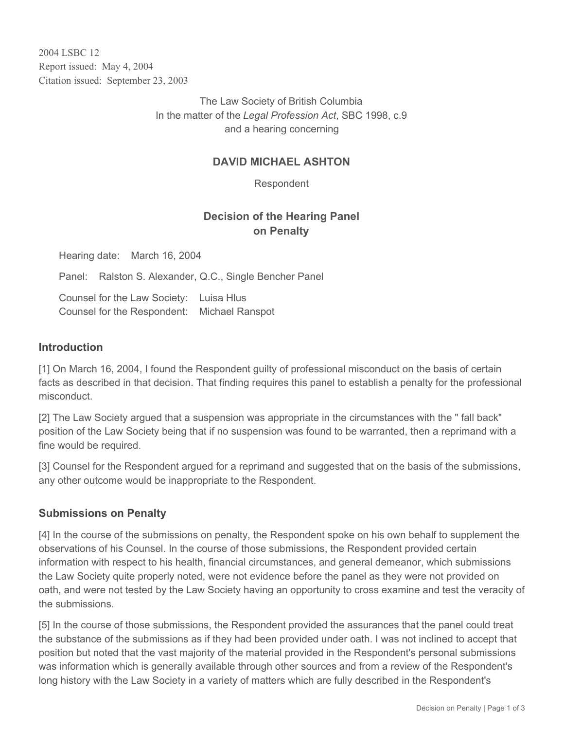2004 LSBC 12 Report issued: May 4, 2004 Citation issued: September 23, 2003

> The Law Society of British Columbia In the matter of the *Legal Profession Act*, SBC 1998, c.9 and a hearing concerning

### **DAVID MICHAEL ASHTON**

Respondent

# **Decision of the Hearing Panel on Penalty**

Hearing date: March 16, 2004

Panel: Ralston S. Alexander, Q.C., Single Bencher Panel

Counsel for the Law Society: Luisa Hlus Counsel for the Respondent: Michael Ranspot

#### **Introduction**

[1] On March 16, 2004, I found the Respondent guilty of professional misconduct on the basis of certain facts as described in that decision. That finding requires this panel to establish a penalty for the professional misconduct.

[2] The Law Society argued that a suspension was appropriate in the circumstances with the " fall back" position of the Law Society being that if no suspension was found to be warranted, then a reprimand with a fine would be required.

[3] Counsel for the Respondent argued for a reprimand and suggested that on the basis of the submissions, any other outcome would be inappropriate to the Respondent.

### **Submissions on Penalty**

[4] In the course of the submissions on penalty, the Respondent spoke on his own behalf to supplement the observations of his Counsel. In the course of those submissions, the Respondent provided certain information with respect to his health, financial circumstances, and general demeanor, which submissions the Law Society quite properly noted, were not evidence before the panel as they were not provided on oath, and were not tested by the Law Society having an opportunity to cross examine and test the veracity of the submissions.

[5] In the course of those submissions, the Respondent provided the assurances that the panel could treat the substance of the submissions as if they had been provided under oath. I was not inclined to accept that position but noted that the vast majority of the material provided in the Respondent's personal submissions was information which is generally available through other sources and from a review of the Respondent's long history with the Law Society in a variety of matters which are fully described in the Respondent's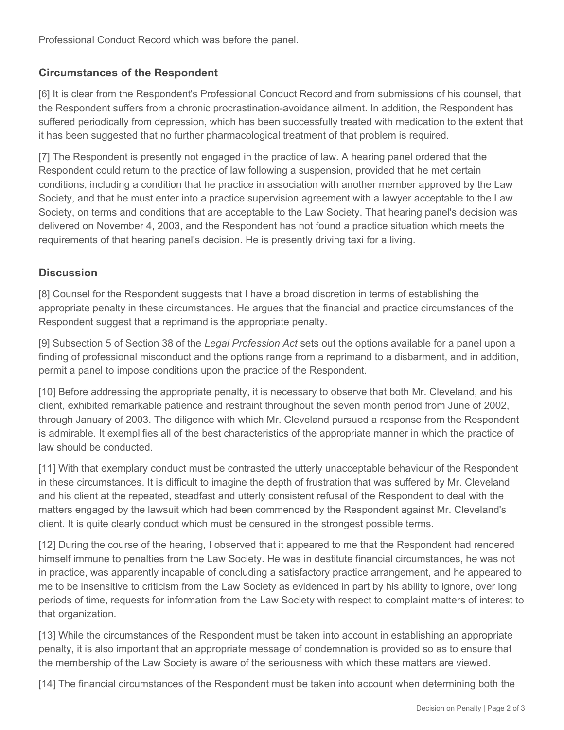Professional Conduct Record which was before the panel.

# **Circumstances of the Respondent**

[6] It is clear from the Respondent's Professional Conduct Record and from submissions of his counsel, that the Respondent suffers from a chronic procrastination-avoidance ailment. In addition, the Respondent has suffered periodically from depression, which has been successfully treated with medication to the extent that it has been suggested that no further pharmacological treatment of that problem is required.

[7] The Respondent is presently not engaged in the practice of law. A hearing panel ordered that the Respondent could return to the practice of law following a suspension, provided that he met certain conditions, including a condition that he practice in association with another member approved by the Law Society, and that he must enter into a practice supervision agreement with a lawyer acceptable to the Law Society, on terms and conditions that are acceptable to the Law Society. That hearing panel's decision was delivered on November 4, 2003, and the Respondent has not found a practice situation which meets the requirements of that hearing panel's decision. He is presently driving taxi for a living.

# **Discussion**

[8] Counsel for the Respondent suggests that I have a broad discretion in terms of establishing the appropriate penalty in these circumstances. He argues that the financial and practice circumstances of the Respondent suggest that a reprimand is the appropriate penalty.

[9] Subsection 5 of Section 38 of the *Legal Profession Act* sets out the options available for a panel upon a finding of professional misconduct and the options range from a reprimand to a disbarment, and in addition, permit a panel to impose conditions upon the practice of the Respondent.

[10] Before addressing the appropriate penalty, it is necessary to observe that both Mr. Cleveland, and his client, exhibited remarkable patience and restraint throughout the seven month period from June of 2002, through January of 2003. The diligence with which Mr. Cleveland pursued a response from the Respondent is admirable. It exemplifies all of the best characteristics of the appropriate manner in which the practice of law should be conducted.

[11] With that exemplary conduct must be contrasted the utterly unacceptable behaviour of the Respondent in these circumstances. It is difficult to imagine the depth of frustration that was suffered by Mr. Cleveland and his client at the repeated, steadfast and utterly consistent refusal of the Respondent to deal with the matters engaged by the lawsuit which had been commenced by the Respondent against Mr. Cleveland's client. It is quite clearly conduct which must be censured in the strongest possible terms.

[12] During the course of the hearing, I observed that it appeared to me that the Respondent had rendered himself immune to penalties from the Law Society. He was in destitute financial circumstances, he was not in practice, was apparently incapable of concluding a satisfactory practice arrangement, and he appeared to me to be insensitive to criticism from the Law Society as evidenced in part by his ability to ignore, over long periods of time, requests for information from the Law Society with respect to complaint matters of interest to that organization.

[13] While the circumstances of the Respondent must be taken into account in establishing an appropriate penalty, it is also important that an appropriate message of condemnation is provided so as to ensure that the membership of the Law Society is aware of the seriousness with which these matters are viewed.

[14] The financial circumstances of the Respondent must be taken into account when determining both the